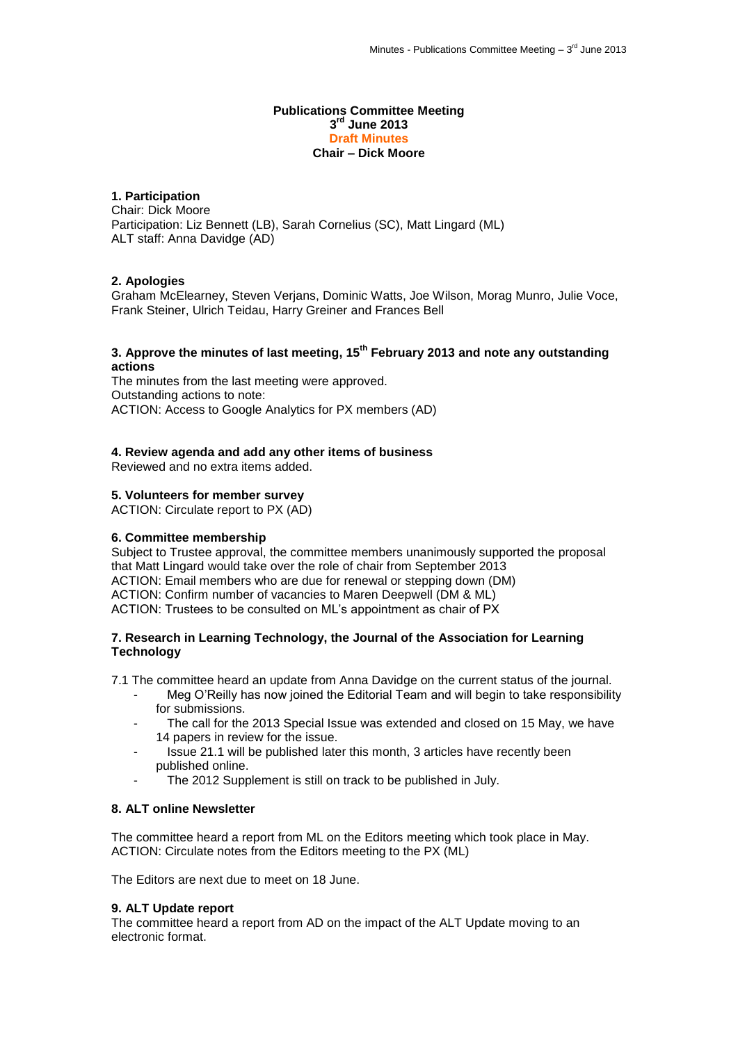#### **Publications Committee Meeting 3 rd June 2013 Draft Minutes Chair – Dick Moore**

# **1. Participation**

Chair: Dick Moore Participation: Liz Bennett (LB), Sarah Cornelius (SC), Matt Lingard (ML) ALT staff: Anna Davidge (AD)

## **2. Apologies**

Graham McElearney, Steven Verjans, Dominic Watts, Joe Wilson, Morag Munro, Julie Voce, Frank Steiner, Ulrich Teidau, Harry Greiner and Frances Bell

# **3. Approve the minutes of last meeting, 15th February 2013 and note any outstanding actions**

The minutes from the last meeting were approved. Outstanding actions to note: ACTION: Access to Google Analytics for PX members (AD)

## **4. Review agenda and add any other items of business**

Reviewed and no extra items added.

## **5. Volunteers for member survey**

ACTION: Circulate report to PX (AD)

### **6. Committee membership**

Subject to Trustee approval, the committee members unanimously supported the proposal that Matt Lingard would take over the role of chair from September 2013 ACTION: Email members who are due for renewal or stepping down (DM) ACTION: Confirm number of vacancies to Maren Deepwell (DM & ML) ACTION: Trustees to be consulted on ML's appointment as chair of PX

### **7. Research in Learning Technology, the Journal of the Association for Learning Technology**

7.1 The committee heard an update from Anna Davidge on the current status of the journal.

- Meg O'Reilly has now joined the Editorial Team and will begin to take responsibility for submissions.
- The call for the 2013 Special Issue was extended and closed on 15 May, we have 14 papers in review for the issue.
- Issue 21.1 will be published later this month, 3 articles have recently been published online.
	- The 2012 Supplement is still on track to be published in July.

# **8. ALT online Newsletter**

The committee heard a report from ML on the Editors meeting which took place in May. ACTION: Circulate notes from the Editors meeting to the PX (ML)

The Editors are next due to meet on 18 June.

### **9. ALT Update report**

The committee heard a report from AD on the impact of the ALT Update moving to an electronic format.